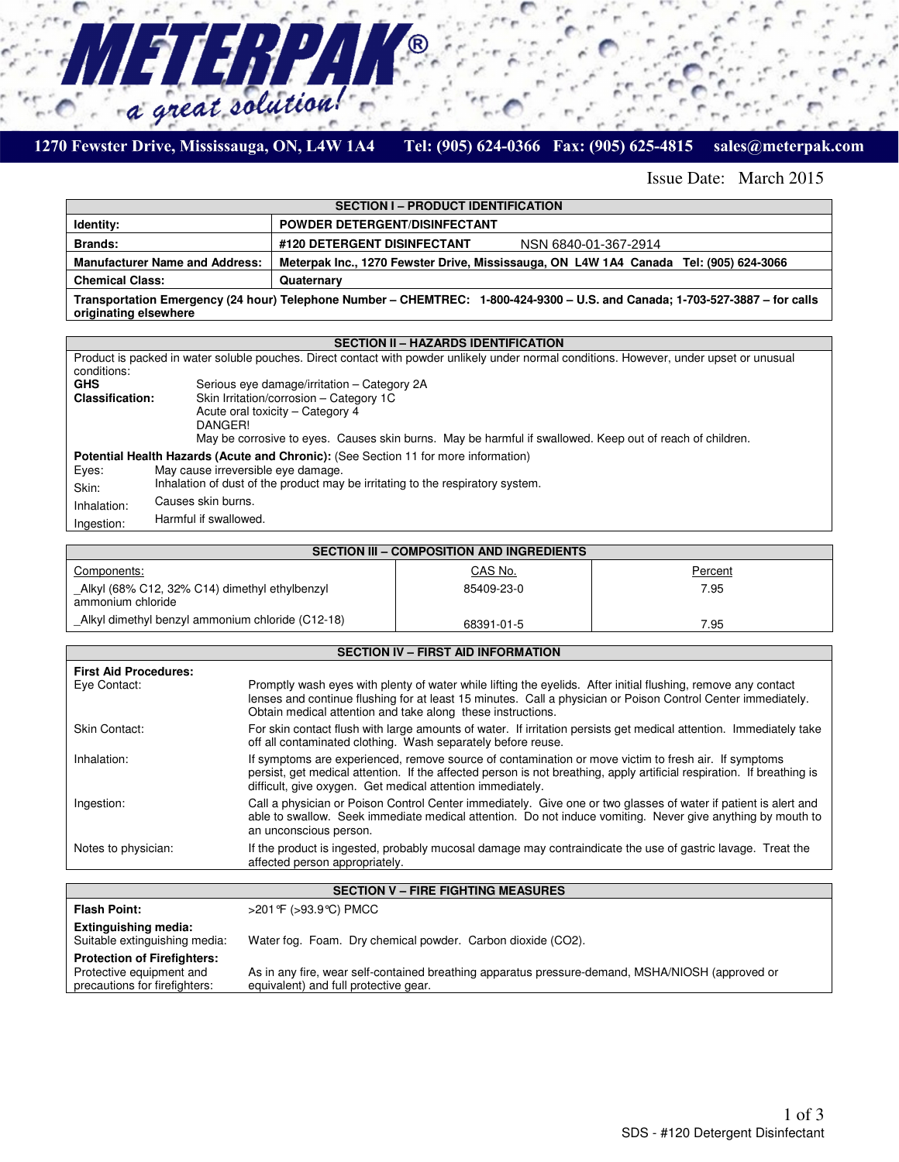

L

#### Tel: (905) 624-0366 Fax: (905) 625-4815 sales@meterpak.com

Issue Date: March 2015

| <b>SECTION I – PRODUCT IDENTIFICATION</b>                                                                                                             |                                                                                       |  |
|-------------------------------------------------------------------------------------------------------------------------------------------------------|---------------------------------------------------------------------------------------|--|
| Identity:                                                                                                                                             | <b>POWDER DETERGENT/DISINFECTANT</b>                                                  |  |
| Brands:                                                                                                                                               | #120 DETERGENT DISINFECTANT<br>NSN 6840-01-367-2914                                   |  |
| <b>Manufacturer Name and Address:</b>                                                                                                                 | Meterpak Inc., 1270 Fewster Drive, Mississauga, ON L4W 1A4 Canada Tel: (905) 624-3066 |  |
| <b>Chemical Class:</b>                                                                                                                                | Quaternary                                                                            |  |
| Transportation Emergency (24 hour) Telephone Number – CHEMTREC: 1-800-424-9300 – U.S. and Canada; 1-703-527-3887 – for calls<br>originating elsewhere |                                                                                       |  |

B

### **SECTION II – HAZARDS IDENTIFICATION**

| Product is packed in water soluble pouches. Direct contact with powder unlikely under normal conditions. However, under upset or unusual<br>conditions: |                                                                                                          |  |  |
|---------------------------------------------------------------------------------------------------------------------------------------------------------|----------------------------------------------------------------------------------------------------------|--|--|
| <b>GHS</b>                                                                                                                                              | Serious eye damage/irritation - Category 2A                                                              |  |  |
| Skin Irritation/corrosion - Category 1C<br><b>Classification:</b>                                                                                       |                                                                                                          |  |  |
|                                                                                                                                                         | Acute oral toxicity – Category 4                                                                         |  |  |
|                                                                                                                                                         | DANGER!                                                                                                  |  |  |
|                                                                                                                                                         | May be corrosive to eyes. Causes skin burns. May be harmful if swallowed. Keep out of reach of children. |  |  |
| <b>Potential Health Hazards (Acute and Chronic): (See Section 11 for more information)</b>                                                              |                                                                                                          |  |  |
| Eyes:                                                                                                                                                   | May cause irreversible eye damage.                                                                       |  |  |
| Skin:                                                                                                                                                   | Inhalation of dust of the product may be irritating to the respiratory system.                           |  |  |
| Inhalation:                                                                                                                                             | Causes skin burns.                                                                                       |  |  |
| Ingestion:                                                                                                                                              | Harmful if swallowed.                                                                                    |  |  |

| SECTION III - COMPOSITION AND INGREDIENTS                          |            |         |  |
|--------------------------------------------------------------------|------------|---------|--|
| Components:                                                        | CAS No.    | Percent |  |
| Alkyl (68% C12, 32% C14) dimethyl ethylbenzyl<br>ammonium chloride | 85409-23-0 | 7.95    |  |
| Alkyl dimethyl benzyl ammonium chloride (C12-18)                   | 68391-01-5 | 7.95    |  |

|                                           | <b>SECTION IV - FIRST AID INFORMATION</b>                                                                                                                                                                                                                                                    |  |
|-------------------------------------------|----------------------------------------------------------------------------------------------------------------------------------------------------------------------------------------------------------------------------------------------------------------------------------------------|--|
| <b>First Aid Procedures:</b>              |                                                                                                                                                                                                                                                                                              |  |
| Eye Contact:                              | Promptly wash eyes with plenty of water while lifting the eyelids. After initial flushing, remove any contact<br>lenses and continue flushing for at least 15 minutes. Call a physician or Poison Control Center immediately.<br>Obtain medical attention and take along these instructions. |  |
| Skin Contact:                             | For skin contact flush with large amounts of water. If irritation persists get medical attention. Immediately take<br>off all contaminated clothing. Wash separately before reuse.                                                                                                           |  |
| Inhalation:                               | If symptoms are experienced, remove source of contamination or move victim to fresh air. If symptoms<br>persist, get medical attention. If the affected person is not breathing, apply artificial respiration. If breathing is<br>difficult, give oxygen. Get medical attention immediately. |  |
| Ingestion:                                | Call a physician or Poison Control Center immediately. Give one or two glasses of water if patient is alert and<br>able to swallow. Seek immediate medical attention. Do not induce vomiting. Never give anything by mouth to<br>an unconscious person.                                      |  |
| Notes to physician:                       | If the product is ingested, probably mucosal damage may contraindicate the use of gastric lavage. Treat the<br>affected person appropriately.                                                                                                                                                |  |
|                                           |                                                                                                                                                                                                                                                                                              |  |
| <b>SECTION V - FIRE FIGHTING MEASURES</b> |                                                                                                                                                                                                                                                                                              |  |
| <b>Flash Point:</b>                       | >201 °F (>93.9 °C) PMCC                                                                                                                                                                                                                                                                      |  |

| <b>Flash Point:</b>                                                                             | >201 °F (>93.9 ℃) PMCC                                                                                                                    |
|-------------------------------------------------------------------------------------------------|-------------------------------------------------------------------------------------------------------------------------------------------|
| Extinguishing media:<br>Suitable extinguishing media:                                           | Water fog. Foam. Dry chemical powder. Carbon dioxide (CO2).                                                                               |
| <b>Protection of Firefighters:</b><br>Protective equipment and<br>precautions for firefighters: | As in any fire, wear self-contained breathing apparatus pressure-demand, MSHA/NIOSH (approved or<br>equivalent) and full protective gear. |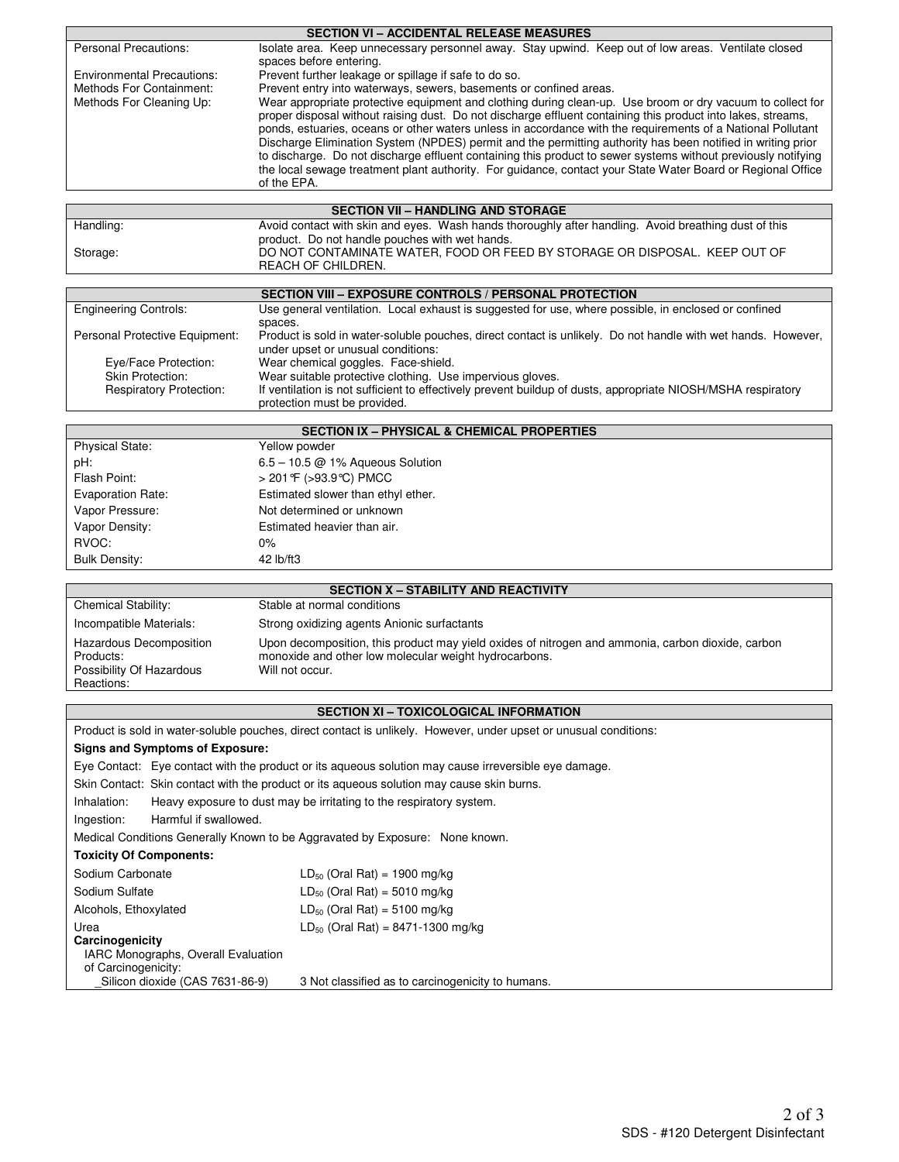|                                   | <b>SECTION VI – ACCIDENTAL RELEASE MEASURES</b>                                                                                                                                                                                                                                                                                                                                                                                                                                                                                                                                                                                                                                                         |
|-----------------------------------|---------------------------------------------------------------------------------------------------------------------------------------------------------------------------------------------------------------------------------------------------------------------------------------------------------------------------------------------------------------------------------------------------------------------------------------------------------------------------------------------------------------------------------------------------------------------------------------------------------------------------------------------------------------------------------------------------------|
| <b>Personal Precautions:</b>      | Isolate area. Keep unnecessary personnel away. Stay upwind. Keep out of low areas. Ventilate closed<br>spaces before entering.                                                                                                                                                                                                                                                                                                                                                                                                                                                                                                                                                                          |
| <b>Environmental Precautions:</b> | Prevent further leakage or spillage if safe to do so.                                                                                                                                                                                                                                                                                                                                                                                                                                                                                                                                                                                                                                                   |
| Methods For Containment:          | Prevent entry into waterways, sewers, basements or confined areas.                                                                                                                                                                                                                                                                                                                                                                                                                                                                                                                                                                                                                                      |
| Methods For Cleaning Up:          | Wear appropriate protective equipment and clothing during clean-up. Use broom or dry vacuum to collect for<br>proper disposal without raising dust. Do not discharge effluent containing this product into lakes, streams,<br>ponds, estuaries, oceans or other waters unless in accordance with the requirements of a National Pollutant<br>Discharge Elimination System (NPDES) permit and the permitting authority has been notified in writing prior<br>to discharge. Do not discharge effluent containing this product to sewer systems without previously notifying<br>the local sewage treatment plant authority. For guidance, contact your State Water Board or Regional Office<br>of the EPA. |
|                                   |                                                                                                                                                                                                                                                                                                                                                                                                                                                                                                                                                                                                                                                                                                         |

| SECTION VII – HANDLING AND STORAGE |                                                                                                      |  |
|------------------------------------|------------------------------------------------------------------------------------------------------|--|
| Handling:                          | Avoid contact with skin and eyes. Wash hands thoroughly after handling. Avoid breathing dust of this |  |
|                                    | product. Do not handle pouches with wet hands.                                                       |  |
| Storage:                           | DO NOT CONTAMINATE WATER, FOOD OR FEED BY STORAGE OR DISPOSAL. KEEP OUT OF                           |  |
|                                    | REACH OF CHILDREN.                                                                                   |  |
|                                    |                                                                                                      |  |

|                                | SECTION VIII - EXPOSURE CONTROLS / PERSONAL PROTECTION                                                       |
|--------------------------------|--------------------------------------------------------------------------------------------------------------|
| <b>Engineering Controls:</b>   | Use general ventilation. Local exhaust is suggested for use, where possible, in enclosed or confined         |
|                                | spaces.                                                                                                      |
| Personal Protective Equipment: | Product is sold in water-soluble pouches, direct contact is unlikely. Do not handle with wet hands. However, |
|                                | under upset or unusual conditions:                                                                           |
| Eye/Face Protection:           | Wear chemical goggles. Face-shield.                                                                          |
| <b>Skin Protection:</b>        | Wear suitable protective clothing. Use impervious gloves.                                                    |
| <b>Respiratory Protection:</b> | If ventilation is not sufficient to effectively prevent buildup of dusts, appropriate NIOSH/MSHA respiratory |
|                                | protection must be provided.                                                                                 |

| <b>SECTION IX – PHYSICAL &amp; CHEMICAL PROPERTIES</b> |                                    |  |
|--------------------------------------------------------|------------------------------------|--|
| <b>Physical State:</b>                                 | Yellow powder                      |  |
| pH:                                                    | $6.5 - 10.5$ @ 1% Aqueous Solution |  |
| Flash Point:                                           | > 201 °F (>93.9 °C) PMCC           |  |
| <b>Evaporation Rate:</b>                               | Estimated slower than ethyl ether. |  |
| Vapor Pressure:                                        | Not determined or unknown          |  |
| Vapor Density:<br>Estimated heavier than air.          |                                    |  |
| RVOC:                                                  | $0\%$                              |  |
| <b>Bulk Density:</b>                                   | 42 lb/ft3                          |  |

| <b>SECTION X - STABILITY AND REACTIVITY</b>                                    |                                                                                                                                                                               |  |
|--------------------------------------------------------------------------------|-------------------------------------------------------------------------------------------------------------------------------------------------------------------------------|--|
| <b>Chemical Stability:</b>                                                     | Stable at normal conditions                                                                                                                                                   |  |
| Incompatible Materials:                                                        | Strong oxidizing agents Anionic surfactants                                                                                                                                   |  |
| Hazardous Decomposition<br>Products:<br>Possibility Of Hazardous<br>Reactions: | Upon decomposition, this product may yield oxides of nitrogen and ammonia, carbon dioxide, carbon<br>monoxide and other low molecular weight hydrocarbons.<br>Will not occur. |  |

# **SECTION XI – TOXICOLOGICAL INFORMATION**

| Product is sold in water-soluble pouches, direct contact is unlikely. However, under upset or unusual conditions: |                                                                                                      |                                                                                           |  |
|-------------------------------------------------------------------------------------------------------------------|------------------------------------------------------------------------------------------------------|-------------------------------------------------------------------------------------------|--|
|                                                                                                                   | Signs and Symptoms of Exposure:                                                                      |                                                                                           |  |
|                                                                                                                   | Eye Contact: Eye contact with the product or its aqueous solution may cause irreversible eye damage. |                                                                                           |  |
|                                                                                                                   |                                                                                                      | Skin Contact: Skin contact with the product or its agueous solution may cause skin burns. |  |
| Inhalation:                                                                                                       |                                                                                                      | Heavy exposure to dust may be irritating to the respiratory system.                       |  |
| Ingestion:                                                                                                        | Harmful if swallowed.                                                                                |                                                                                           |  |
| Medical Conditions Generally Known to be Aggravated by Exposure: None known.                                      |                                                                                                      |                                                                                           |  |
| <b>Toxicity Of Components:</b>                                                                                    |                                                                                                      |                                                                                           |  |
| Sodium Carbonate<br>$LD_{50}$ (Oral Rat) = 1900 mg/kg                                                             |                                                                                                      |                                                                                           |  |
| Sodium Sulfate                                                                                                    |                                                                                                      | $LD_{50}$ (Oral Rat) = 5010 mg/kg                                                         |  |
| Alcohols, Ethoxylated                                                                                             |                                                                                                      | $LD_{50}$ (Oral Rat) = 5100 mg/kg                                                         |  |
| Urea                                                                                                              |                                                                                                      | $LD_{50}$ (Oral Rat) = 8471-1300 mg/kg                                                    |  |
| Carcinogenicity                                                                                                   |                                                                                                      |                                                                                           |  |
|                                                                                                                   | <b>IARC Monographs, Overall Evaluation</b>                                                           |                                                                                           |  |
| of Carcinogenicity:                                                                                               |                                                                                                      |                                                                                           |  |
|                                                                                                                   | Silicon dioxide (CAS 7631-86-9)                                                                      | 3 Not classified as to carcinogenicity to humans.                                         |  |